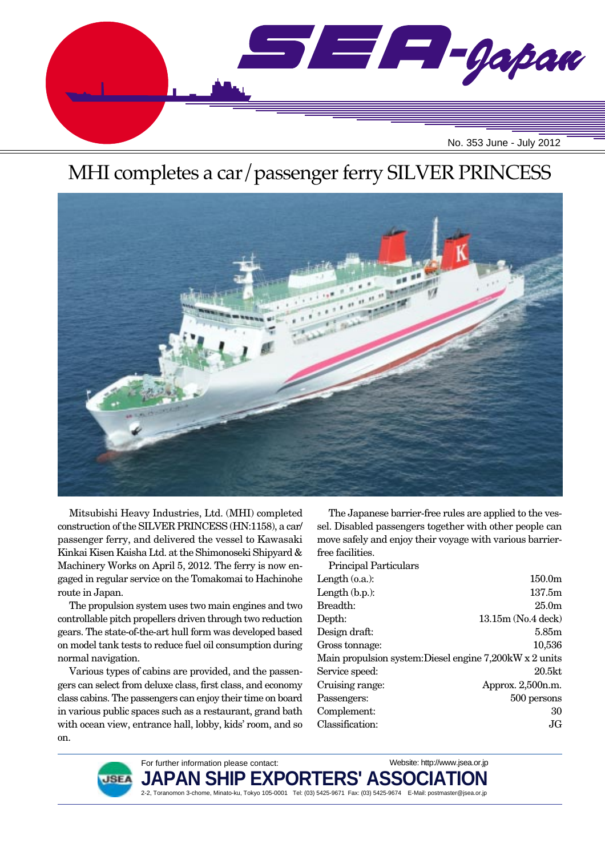

# MHI completes a car/passenger ferry SILVER PRINCESS



Mitsubishi Heavy Industries, Ltd. (MHI) completed construction of the SILVER PRINCESS (HN:1158), a car/ passenger ferry, and delivered the vessel to Kawasaki Kinkai Kisen Kaisha Ltd. at the Shimonoseki Shipyard & Machinery Works on April 5, 2012. The ferry is now engaged in regular service on the Tomakomai to Hachinohe route in Japan.

The propulsion system uses two main engines and two controllable pitch propellers driven through two reduction gears. The state-of-the-art hull form was developed based on model tank tests to reduce fuel oil consumption during normal navigation.

Various types of cabins are provided, and the passengers can select from deluxe class, first class, and economy class cabins. The passengers can enjoy their time on board in various public spaces such as a restaurant, grand bath with ocean view, entrance hall, lobby, kids' room, and so on.

The Japanese barrier-free rules are applied to the vessel. Disabled passengers together with other people can move safely and enjoy their voyage with various barrierfree facilities.

Principal Particulars

| 1 THROIPER 1 GR GROUND                                  |                    |
|---------------------------------------------------------|--------------------|
| Length $(0.a.)$ :                                       | 150.0 <sub>m</sub> |
| Length $(b.p.):$                                        | 137.5m             |
| Breadth:                                                | 25.0 <sub>m</sub>  |
| Depth:                                                  | 13.15m (No.4 deck) |
| Design draft:                                           | 5.85m              |
| Gross tonnage:                                          | 10,536             |
| Main propulsion system: Diesel engine 7,200kW x 2 units |                    |
| Service speed:                                          | 20.5kt             |
| Cruising range:                                         | Approx. 2,500n.m.  |
| Passengers:                                             | 500 persons        |
| Complement:                                             | 30                 |
| Classification:                                         | JG.                |
|                                                         |                    |

Website: http://www.jsea.or.jp



**JAPAN SHIP EXPORTERS' ASSOCIATION**

2-2, Toranomon 3-chome, Minato-ku, Tokyo 105-0001 Tel: (03) 5425-9671 Fax: (03) 5425-9674 E-Mail: postmaster@jsea.or.jp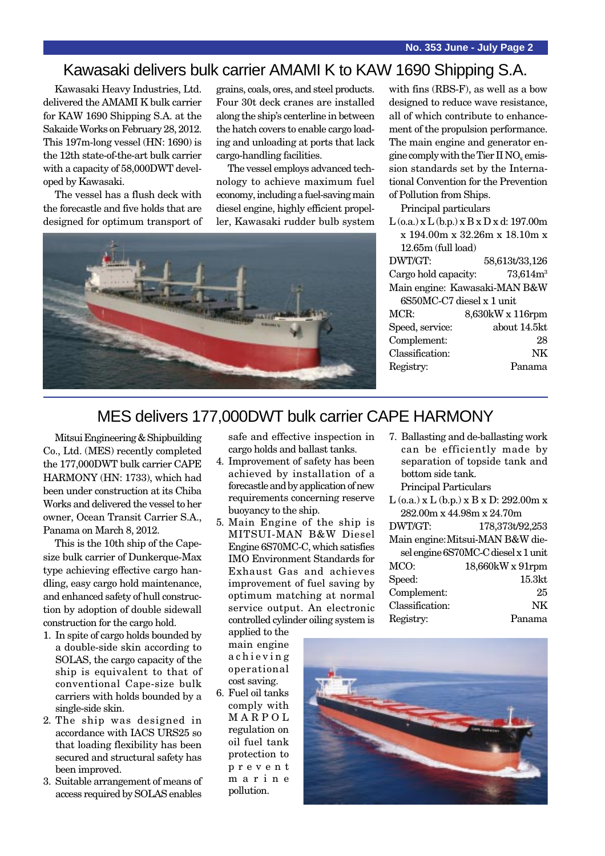## Kawasaki delivers bulk carrier AMAMI K to KAW 1690 Shipping S.A.

Kawasaki Heavy Industries, Ltd. delivered the AMAMI K bulk carrier for KAW 1690 Shipping S.A. at the Sakaide Works on February 28, 2012. This 197m-long vessel (HN: 1690) is the 12th state-of-the-art bulk carrier with a capacity of 58,000DWT developed by Kawasaki.

The vessel has a flush deck with the forecastle and five holds that are designed for optimum transport of grains, coals, ores, and steel products. Four 30t deck cranes are installed along the ship's centerline in between the hatch covers to enable cargo loading and unloading at ports that lack cargo-handling facilities.

The vessel employs advanced technology to achieve maximum fuel economy, including a fuel-saving main diesel engine, highly efficient propeller, Kawasaki rudder bulb system



with fins (RBS-F), as well as a bow designed to reduce wave resistance, all of which contribute to enhancement of the propulsion performance. The main engine and generator engine comply with the Tier II  $NO<sub>x</sub>$  emission standards set by the International Convention for the Prevention of Pollution from Ships.

Principal particulars

 $L$  (o.a.) x  $L$  (b.p.) x  $B$  x  $D$  x d: 197.00m x 194.00m x 32.26m x 18.10m x 12.65m (full load) DWT/GT: 58,613t/33,126 Cargo hold capacity:  $73,614m<sup>3</sup>$ Main engine: Kawasaki-MAN B&W 6S50MC-C7 diesel x 1 unit MCR: 8,630kW x 116rpm Speed, service: about 14.5kt Complement: 28 Classification: NK Registry: Panama

#### MES delivers 177,000DWT bulk carrier CAPE HARMONY

Mitsui Engineering & Shipbuilding Co., Ltd. (MES) recently completed the 177,000DWT bulk carrier CAPE HARMONY (HN: 1733), which had been under construction at its Chiba Works and delivered the vessel to her owner, Ocean Transit Carrier S.A., Panama on March 8, 2012.

This is the 10th ship of the Capesize bulk carrier of Dunkerque-Max type achieving effective cargo handling, easy cargo hold maintenance, and enhanced safety of hull construction by adoption of double sidewall construction for the cargo hold.

- 1. In spite of cargo holds bounded by a double-side skin according to SOLAS, the cargo capacity of the ship is equivalent to that of conventional Cape-size bulk carriers with holds bounded by a single-side skin.
- 2. The ship was designed in accordance with IACS URS25 so that loading flexibility has been secured and structural safety has been improved.
- 3. Suitable arrangement of means of access required by SOLAS enables

safe and effective inspection in cargo holds and ballast tanks.

- 4. Improvement of safety has been achieved by installation of a forecastle and by application of new requirements concerning reserve buoyancy to the ship.
- 5. Main Engine of the ship is MITSUI-MAN B&W Diesel Engine 6S70MC-C, which satisfies IMO Environment Standards for Exhaust Gas and achieves improvement of fuel saving by optimum matching at normal service output. An electronic controlled cylinder oiling system is
- 7. Ballasting and de-ballasting work can be efficiently made by separation of topside tank and bottom side tank.

Principal Particulars

L (o.a.) x L (b.p.) x B x D: 292.00m x 282.00m x 44.98m x 24.70m DWT/GT: 178,373t/92,253

| Main engine: Mitsui-MAN B&W die- |                                     |  |
|----------------------------------|-------------------------------------|--|
|                                  | sel engine 6S70MC-C diesel x 1 unit |  |
| MCO:                             | 18,660kW x 91rpm                    |  |
| Speed:                           | 15.3 <sub>kt</sub>                  |  |
| Complement:                      | 25                                  |  |
| Classification:                  | NK                                  |  |
| Registry:                        | Panama                              |  |

applied to the main engine achieving operational cost saving.

6. Fuel oil tanks comply with MARPOL regulation on oil fuel tank protection to prevent marine pollution.

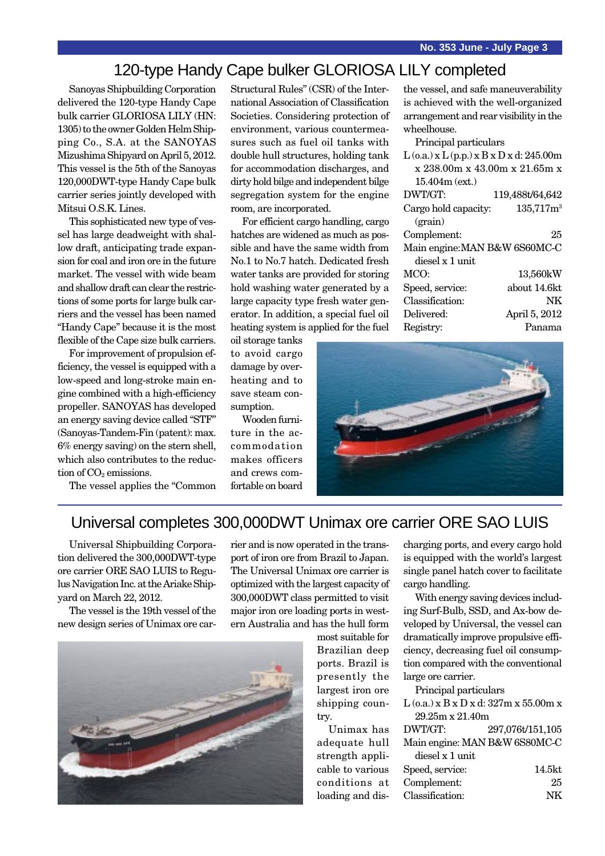#### 120-type Handy Cape bulker GLORIOSA LILY completed

Sanoyas Shipbuilding Corporation delivered the 120-type Handy Cape bulk carrier GLORIOSA LILY (HN: 1305) to the owner Golden Helm Shipping Co., S.A. at the SANOYAS Mizushima Shipyard on April 5, 2012. This vessel is the 5th of the Sanoyas 120,000DWT-type Handy Cape bulk carrier series jointly developed with Mitsui O.S.K. Lines.

This sophisticated new type of vessel has large deadweight with shallow draft, anticipating trade expansion for coal and iron ore in the future market. The vessel with wide beam and shallow draft can clear the restrictions of some ports for large bulk carriers and the vessel has been named "Handy Cape" because it is the most flexible of the Cape size bulk carriers.

For improvement of propulsion efficiency, the vessel is equipped with a low-speed and long-stroke main engine combined with a high-efficiency propeller. SANOYAS has developed an energy saving device called "STF" (Sanoyas-Tandem-Fin (patent): max. 6% energy saving) on the stern shell, which also contributes to the reduction of  $CO<sub>2</sub>$  emissions.

The vessel applies the "Common

Structural Rules" (CSR) of the International Association of Classification Societies. Considering protection of environment, various countermeasures such as fuel oil tanks with double hull structures, holding tank for accommodation discharges, and dirty hold bilge and independent bilge segregation system for the engine room, are incorporated.

For efficient cargo handling, cargo hatches are widened as much as possible and have the same width from No.1 to No.7 hatch. Dedicated fresh water tanks are provided for storing hold washing water generated by a large capacity type fresh water generator. In addition, a special fuel oil heating system is applied for the fuel

oil storage tanks to avoid cargo damage by overheating and to save steam consumption.

Wooden furniture in the accommodation makes officers and crews comfortable on board

the vessel, and safe maneuverability is achieved with the well-organized arrangement and rear visibility in the wheelhouse.

| Principal particulars                            |                       |  |
|--------------------------------------------------|-----------------------|--|
| $L$ (o.a.) x $L$ (p.p.) x $B$ x $D$ x d: 245.00m |                       |  |
| x 238.00m x 43.00m x 21.65m x                    |                       |  |
| $15.404m$ (ext.)                                 |                       |  |
| DWT/GT:                                          | 119,488t/64,642       |  |
| Cargo hold capacity:                             | 135,717m <sup>3</sup> |  |
| (grain)                                          |                       |  |
| Complement:                                      | 25                    |  |
| Main engine: MAN B&W 6S60MC-C                    |                       |  |
| diesel x 1 unit                                  |                       |  |
| MCO:                                             | 13,560kW              |  |
| Speed, service:                                  | about 14.6kt          |  |
| Classification:                                  | NK                    |  |
| Delivered:                                       | April 5, 2012         |  |
| Registry:                                        | Panama                |  |



#### Universal completes 300,000DWT Unimax ore carrier ORE SAO LUIS

Universal Shipbuilding Corporation delivered the 300,000DWT-type ore carrier ORE SAO LUIS to Regulus Navigation Inc. at the Ariake Shipyard on March 22, 2012.

The vessel is the 19th vessel of the new design series of Unimax ore carrier and is now operated in the transport of iron ore from Brazil to Japan. The Universal Unimax ore carrier is optimized with the largest capacity of 300,000DWT class permitted to visit major iron ore loading ports in western Australia and has the hull form



most suitable for Brazilian deep ports. Brazil is presently the largest iron ore shipping country.

Unimax has adequate hull strength applicable to various conditions at loading and discharging ports, and every cargo hold is equipped with the world's largest single panel hatch cover to facilitate cargo handling.

With energy saving devices including Surf-Bulb, SSD, and Ax-bow developed by Universal, the vessel can dramatically improve propulsive efficiency, decreasing fuel oil consumption compared with the conventional large ore carrier.

Principal particulars L (o.a.) x B x D x d: 327m x 55.00m x 29.25m x 21.40m DWT/GT: 297,076t/151,105 Main engine: MAN B&W 6S80MC-C diesel x 1 unit Speed, service: 14.5kt Complement: 25 Classification: NK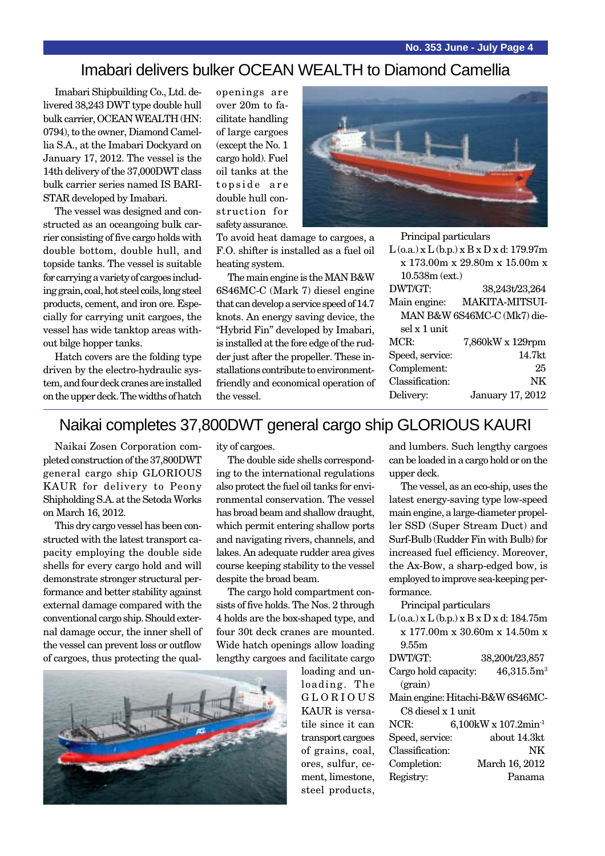#### Imabari delivers bulker OCEAN WEALTH to Diamond Camellia

Imabari Shipbuilding Co., Ltd. delivered 38,243 DWT type double hull bulk carrier, OCEAN WEALTH (HN: 0794), to the owner, Diamond Camellia S.A., at the Imabari Dockyard on January 17, 2012. The vessel is the 14th delivery of the 37,000DWT class bulk carrier series named IS BARI-STAR developed by Imabari.

The vessel was designed and constructed as an oceangoing bulk carrier consisting of five cargo holds with double bottom, double hull, and topside tanks. The vessel is suitable for carrying a variety of cargoes including grain, coal, hot steel coils, long steel products, cement, and iron ore. Especially for carrying unit cargoes, the vessel has wide tanktop areas without bilge hopper tanks.

Hatch covers are the folding type driven by the electro-hydraulic system, and four deck cranes are installed on the upper deck. The widths of hatch openings are over 20m to facilitate handling of large cargoes (except the No. 1 cargo hold). Fuel oil tanks at the topside are double hull construction for safety assurance.

To avoid heat damage to cargoes, a F.O. shifter is installed as a fuel oil heating system.

The main engine is the MAN B&W 6S46MC-C (Mark 7) diesel engine that can develop a service speed of 14.7 knots. An energy saving device, the "Hybrid Fin" developed by Imabari, is installed at the fore edge of the rudder just after the propeller. These installations contribute to environmentfriendly and economical operation of the vessel.



Principal particulars

| $L$ (o.a.) x $L$ (b.p.) x $B$ x $D$ x d: 179.97m |                       |  |  |  |
|--------------------------------------------------|-----------------------|--|--|--|
| x 173.00m x 29.80m x 15.00m x                    |                       |  |  |  |
| $10.538m$ (ext.)                                 |                       |  |  |  |
| DWT/GT:                                          | 38,243t/23,264        |  |  |  |
| Main engine:                                     | <b>MAKITA-MITSUI-</b> |  |  |  |
| MAN B&W 6S46MC-C (Mk7) die-                      |                       |  |  |  |
| sel x 1 unit                                     |                       |  |  |  |
| MCR:                                             | 7,860kW x 129rpm      |  |  |  |
| Speed, service:                                  | 14.7kt                |  |  |  |
| Complement:                                      | 25                    |  |  |  |
| Classification:                                  | NK                    |  |  |  |
| Delivery:                                        | January 17, 2012      |  |  |  |
|                                                  |                       |  |  |  |

#### Naikai completes 37,800DWT general cargo ship GLORIOUS KAURI

Naikai Zosen Corporation completed construction of the 37,800DWT general cargo ship GLORIOUS KAUR for delivery to Peony Shipholding S.A. at the Setoda Works on March 16, 2012.

This dry cargo vessel has been constructed with the latest transport capacity employing the double side shells for every cargo hold and will demonstrate stronger structural performance and better stability against external damage compared with the conventional cargo ship. Should external damage occur, the inner shell of the vessel can prevent loss or outflow of cargoes, thus protecting the quality of cargoes.

The double side shells corresponding to the international regulations also protect the fuel oil tanks for environmental conservation. The vessel has broad beam and shallow draught, which permit entering shallow ports and navigating rivers, channels, and lakes. An adequate rudder area gives course keeping stability to the vessel despite the broad beam.

The cargo hold compartment consists of five holds. The Nos. 2 through 4 holds are the box-shaped type, and four 30t deck cranes are mounted. Wide hatch openings allow loading lengthy cargoes and facilitate cargo

> loading and unloading. The GLORIOUS KAUR is versatile since it can transport cargoes of grains, coal, ores, sulfur, cement, limestone, steel products,



and lumbers. Such lengthy cargoes can be loaded in a cargo hold or on the upper deck. The vessel, as an eco-ship, uses the

latest energy-saving type low-speed main engine, a large-diameter propeller SSD (Super Stream Duct) and Surf-Bulb (Rudder Fin with Bulb) for increased fuel efficiency. Moreover, the Ax-Bow, a sharp-edged bow, is employed to improve sea-keeping performance.

Principal particulars

 $L$  (o.a.) x  $L$  (b.p.) x  $B$  x  $D$  x d: 184.75m x 177.00m x 30.60m x 14.50m x 9.55m

| DWT/GT:                          |  | 38,200t/23,857                   |  |  |
|----------------------------------|--|----------------------------------|--|--|
| Cargo hold capacity:             |  | 46,315.5m <sup>3</sup>           |  |  |
| (grain)                          |  |                                  |  |  |
| Main engine: Hitachi-B&W 6S46MC- |  |                                  |  |  |
| C8 diesel x 1 unit               |  |                                  |  |  |
| NCR:                             |  | 6,100kW x 107.2min <sup>-1</sup> |  |  |
| Speed, service:                  |  | about 14.3kt                     |  |  |
| Classification:                  |  | NK                               |  |  |
| Completion:                      |  | March 16, 2012                   |  |  |
| Registry:                        |  | Panama                           |  |  |
|                                  |  |                                  |  |  |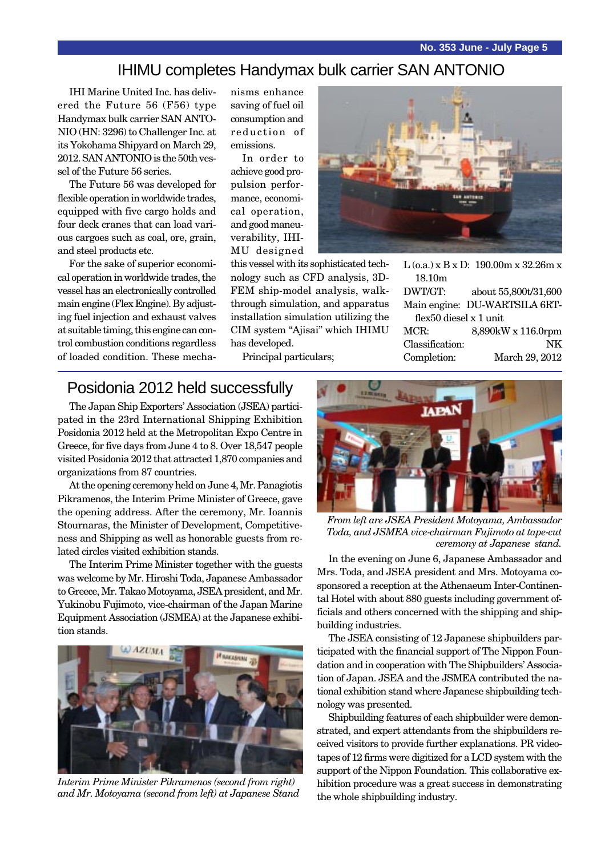**No. 353 June - July Page 5**

#### IHIMU completes Handymax bulk carrier SAN ANTONIO

IHI Marine United Inc. has delivered the Future 56 (F56) type Handymax bulk carrier SAN ANTO-NIO (HN: 3296) to Challenger Inc. at its Yokohama Shipyard on March 29, 2012. SAN ANTONIO is the 50th vessel of the Future 56 series.

The Future 56 was developed for flexible operation in worldwide trades, equipped with five cargo holds and four deck cranes that can load various cargoes such as coal, ore, grain, and steel products etc.

For the sake of superior economical operation in worldwide trades, the vessel has an electronically controlled main engine (Flex Engine). By adjusting fuel injection and exhaust valves at suitable timing, this engine can control combustion conditions regardless of loaded condition. These mechanisms enhance saving of fuel oil consumption and reduction of emissions.

In order to achieve good propulsion performance, economical operation, and good maneuverability, IHI-MU designed

this vessel with its sophisticated technology such as CFD analysis, 3D-FEM ship-model analysis, walkthrough simulation, and apparatus installation simulation utilizing the CIM system "Ajisai" which IHIMU has developed.

Principal particulars;



L (o.a.) x B x D: 190.00m x 32.26m x 18.10m DWT/GT: about 55,800t/31,600 Main engine: DU-WARTSILA 6RTflex50 diesel x 1 unit MCR: 8,890kW x 116.0rpm Classification: NK Completion: March 29, 2012

#### Posidonia 2012 held successfully

The Japan Ship Exporters' Association (JSEA) participated in the 23rd International Shipping Exhibition Posidonia 2012 held at the Metropolitan Expo Centre in Greece, for five days from June 4 to 8. Over 18,547 people visited Posidonia 2012 that attracted 1,870 companies and organizations from 87 countries.

At the opening ceremony held on June 4, Mr. Panagiotis Pikramenos, the Interim Prime Minister of Greece, gave the opening address. After the ceremony, Mr. Ioannis Stournaras, the Minister of Development, Competitiveness and Shipping as well as honorable guests from related circles visited exhibition stands.

The Interim Prime Minister together with the guests was welcome by Mr. Hiroshi Toda, Japanese Ambassador to Greece, Mr. Takao Motoyama, JSEA president, and Mr. Yukinobu Fujimoto, vice-chairman of the Japan Marine Equipment Association (JSMEA) at the Japanese exhibition stands.



*Interim Prime Minister Pikramenos (second from right) and Mr. Motoyama (second from left) at Japanese Stand*



*From left are JSEA President Motoyama, Ambassador Toda, and JSMEA vice-chairman Fujimoto at tape-cut ceremony at Japanese stand.*

In the evening on June 6, Japanese Ambassador and Mrs. Toda, and JSEA president and Mrs. Motoyama cosponsored a reception at the Athenaeum Inter-Continental Hotel with about 880 guests including government officials and others concerned with the shipping and shipbuilding industries.

The JSEA consisting of 12 Japanese shipbuilders participated with the financial support of The Nippon Foundation and in cooperation with The Shipbuilders' Association of Japan. JSEA and the JSMEA contributed the national exhibition stand where Japanese shipbuilding technology was presented.

Shipbuilding features of each shipbuilder were demonstrated, and expert attendants from the shipbuilders received visitors to provide further explanations. PR videotapes of 12 firms were digitized for a LCD system with the support of the Nippon Foundation. This collaborative exhibition procedure was a great success in demonstrating the whole shipbuilding industry.